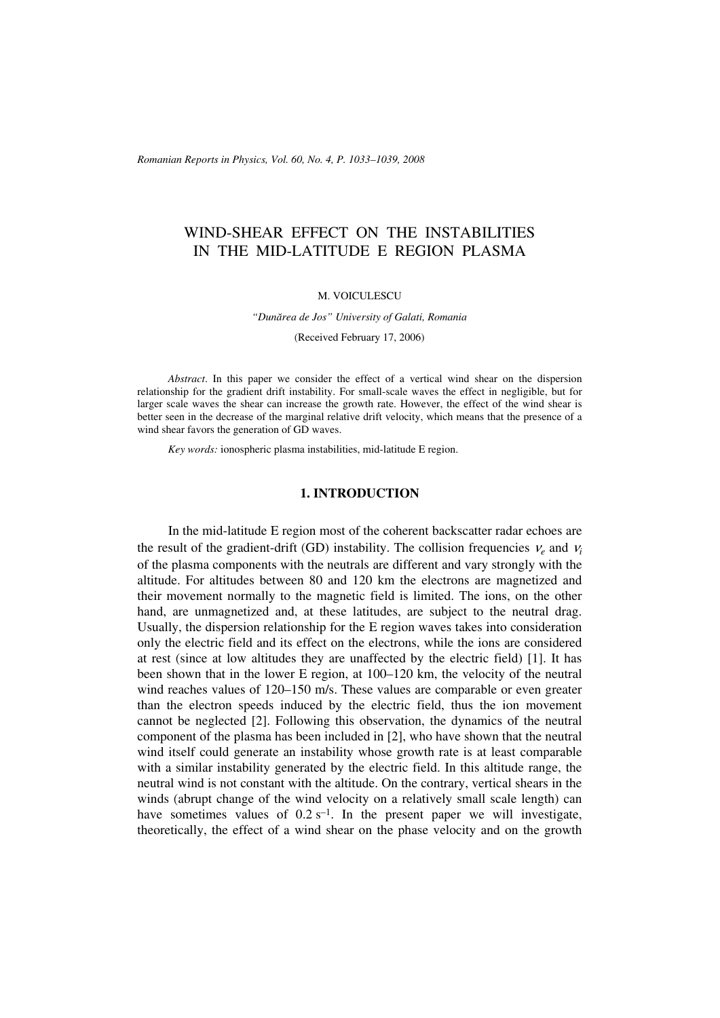*Romanian Reports in Physics, Vol. 60, No. 4, P. 1033–1039, 2008*

# WIND-SHEAR EFFECT ON THE INSTABILITIES IN THE MID-LATITUDE E REGION PLASMA

### M. VOICULESCU

#### *"Dunãrea de Jos" University of Galati, Romania*

(Received February 17, 2006)

*Abstract*. In this paper we consider the effect of a vertical wind shear on the dispersion relationship for the gradient drift instability. For small-scale waves the effect in negligible, but for larger scale waves the shear can increase the growth rate. However, the effect of the wind shear is better seen in the decrease of the marginal relative drift velocity, which means that the presence of a wind shear favors the generation of GD waves.

*Key words:* ionospheric plasma instabilities, mid-latitude E region.

## **1. INTRODUCTION**

In the mid-latitude E region most of the coherent backscatter radar echoes are the result of the gradient-drift (GD) instability. The collision frequencies  $v_e$  and  $v_i$ of the plasma components with the neutrals are different and vary strongly with the altitude. For altitudes between 80 and 120 km the electrons are magnetized and their movement normally to the magnetic field is limited. The ions, on the other hand, are unmagnetized and, at these latitudes, are subject to the neutral drag. Usually, the dispersion relationship for the E region waves takes into consideration only the electric field and its effect on the electrons, while the ions are considered at rest (since at low altitudes they are unaffected by the electric field) [1]. It has been shown that in the lower E region, at 100–120 km, the velocity of the neutral wind reaches values of 120–150 m/s. These values are comparable or even greater than the electron speeds induced by the electric field, thus the ion movement cannot be neglected [2]. Following this observation, the dynamics of the neutral component of the plasma has been included in [2], who have shown that the neutral wind itself could generate an instability whose growth rate is at least comparable with a similar instability generated by the electric field. In this altitude range, the neutral wind is not constant with the altitude. On the contrary, vertical shears in the winds (abrupt change of the wind velocity on a relatively small scale length) can have sometimes values of  $0.2 s<sup>-1</sup>$ . In the present paper we will investigate, theoretically, the effect of a wind shear on the phase velocity and on the growth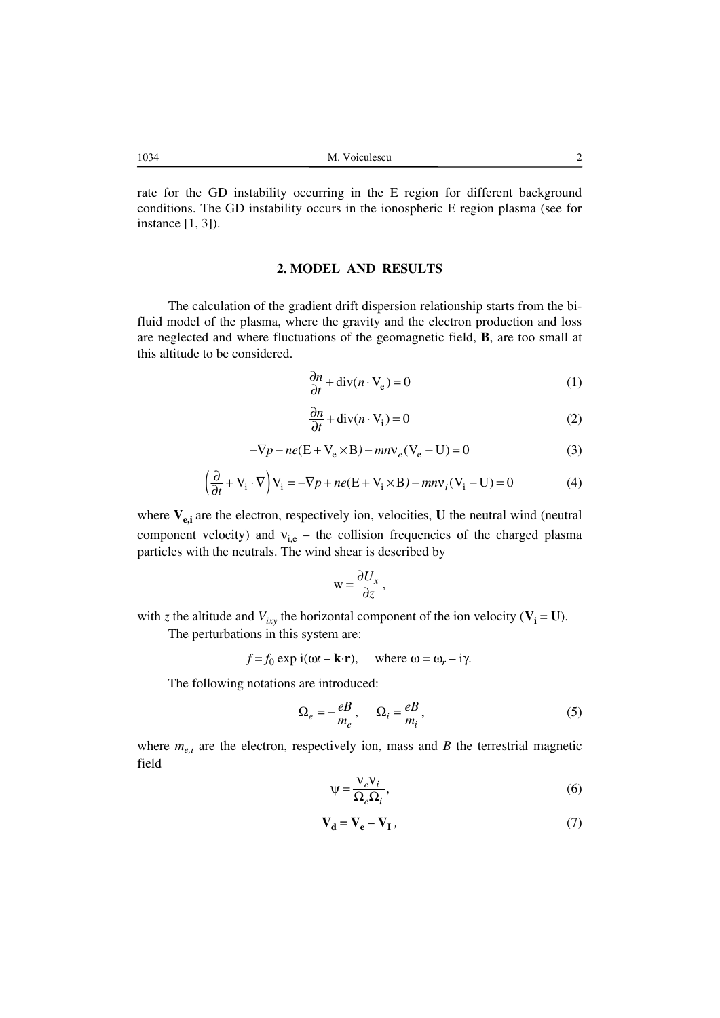rate for the GD instability occurring in the E region for different background conditions. The GD instability occurs in the ionospheric E region plasma (see for instance [1, 3]).

## **2. MODEL AND RESULTS**

The calculation of the gradient drift dispersion relationship starts from the bifluid model of the plasma, where the gravity and the electron production and loss are neglected and where fluctuations of the geomagnetic field, **B**, are too small at this altitude to be considered.

$$
\frac{\partial n}{\partial t} + \text{div}(n \cdot V_e) = 0 \tag{1}
$$

$$
\frac{\partial n}{\partial t} + \text{div}(n \cdot V_i) = 0 \tag{2}
$$

$$
-\nabla p - ne(\mathbf{E} + \mathbf{V}_e \times \mathbf{B}) - mn\nu_e(\mathbf{V}_e - \mathbf{U}) = 0
$$
\n(3)

$$
\left(\frac{\partial}{\partial t} + \mathbf{V}_i \cdot \nabla\right) \mathbf{V}_i = -\nabla p + ne(\mathbf{E} + \mathbf{V}_i \times \mathbf{B}) - mn\mathbf{V}_i(\mathbf{V}_i - \mathbf{U}) = 0\tag{4}
$$

where  $V_{e,i}$  are the electron, respectively ion, velocities, U the neutral wind (neutral component velocity) and  $v_{i,e}$  – the collision frequencies of the charged plasma particles with the neutrals. The wind shear is described by

$$
w = \frac{\partial U_x}{\partial z},
$$

with *z* the altitude and  $V_{ixy}$  the horizontal component of the ion velocity ( $V_i = U$ ). The perturbations in this system are:

$$
f = f_0 \exp i(\omega t - \mathbf{k} \cdot \mathbf{r}),
$$
 where  $\omega = \omega_r - i\gamma$ .

The following notations are introduced:

$$
\Omega_e = -\frac{eB}{m_e}, \qquad \Omega_i = \frac{eB}{m_i},\tag{5}
$$

where  $m_{e,i}$  are the electron, respectively ion, mass and *B* the terrestrial magnetic field

$$
\Psi = \frac{V_e V_i}{\Omega_e \Omega_i},\tag{6}
$$

$$
\mathbf{V}_\mathbf{d} = \mathbf{V}_\mathbf{e} - \mathbf{V}_\mathbf{I} \,,\tag{7}
$$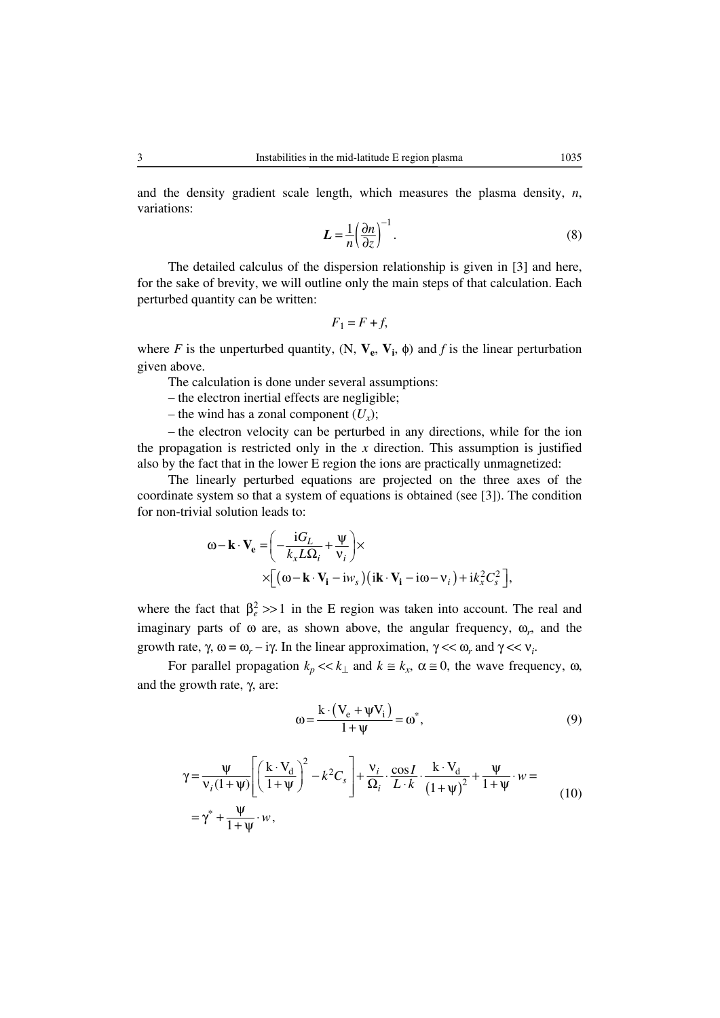and the density gradient scale length, which measures the plasma density,  $n$ , variations:

$$
L = \frac{1}{n} \left( \frac{\partial n}{\partial z} \right)^{-1} . \tag{8}
$$

The detailed calculus of the dispersion relationship is given in [3] and here, for the sake of brevity, we will outline only the main steps of that calculation. Each perturbed quantity can be written:

$$
F_1 = F + f,
$$

where *F* is the unperturbed quantity,  $(N, V_e, V_i, \phi)$  and *f* is the linear perturbation given above.

The calculation is done under several assumptions:

– the electron inertial effects are negligible;

– the wind has a zonal component  $(U_x)$ ;

– the electron velocity can be perturbed in any directions, while for the ion the propagation is restricted only in the  $x$  direction. This assumption is justified also by the fact that in the lower E region the ions are practically unmagnetized:

The linearly perturbed equations are projected on the three axes of the coordinate system so that a system of equations is obtained (see [3]). The condition for non-trivial solution leads to:

$$
\omega - \mathbf{k} \cdot \mathbf{V}_{e} = \left( -\frac{iG_{L}}{k_{x}L\Omega_{i}} + \frac{\Psi}{v_{i}} \right) \times
$$
  
 
$$
\times \left[ (\omega - \mathbf{k} \cdot \mathbf{V}_{i} - i\omega_{s}) \left( i\mathbf{k} \cdot \mathbf{V}_{i} - i\omega - v_{i} \right) + i k_{x}^{2} C_{s}^{2} \right],
$$

where the fact that  $\beta_e^2 >> 1$  in the E region was taken into account. The real and imaginary parts of  $\omega$  are, as shown above, the angular frequency,  $\omega_r$ , and the growth rate,  $\gamma$ ,  $\omega = \omega_r - i\gamma$ . In the linear approximation,  $\gamma \ll \omega_r$  and  $\gamma \ll v_i$ .

For parallel propagation  $k_p \ll k_\perp$  and  $k \approx k_x$ ,  $\alpha \approx 0$ , the wave frequency,  $\omega$ , and the growth rate, γ, are:

$$
\omega = \frac{k \cdot (V_e + \psi V_i)}{1 + \psi} = \omega^*,\tag{9}
$$

$$
\gamma = \frac{\Psi}{\nu_i (1 + \Psi)} \left[ \left( \frac{k \cdot V_d}{1 + \Psi} \right)^2 - k^2 C_s \right] + \frac{\nu_i}{\Omega_i} \cdot \frac{\cos I}{L \cdot k} \cdot \frac{k \cdot V_d}{\left( 1 + \Psi \right)^2} + \frac{\Psi}{1 + \Psi} \cdot w =
$$
\n
$$
= \gamma^* + \frac{\Psi}{1 + \Psi} \cdot w,
$$
\n(10)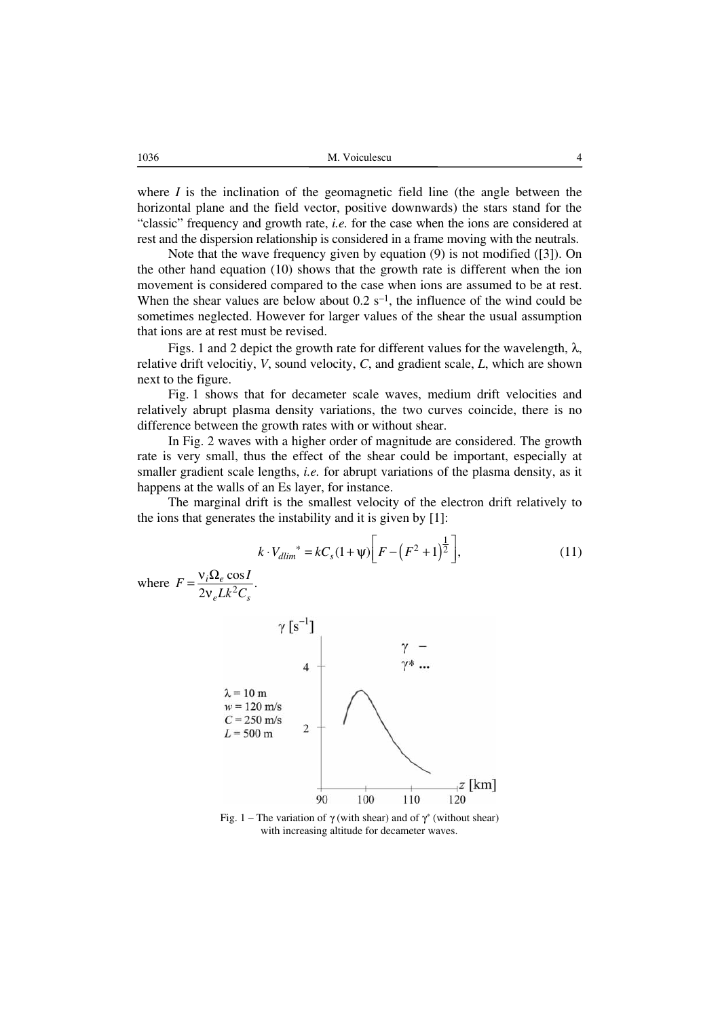1036 M. Voiculescu 4

where *I* is the inclination of the geomagnetic field line (the angle between the horizontal plane and the field vector, positive downwards) the stars stand for the "classic" frequency and growth rate, *i.e.* for the case when the ions are considered at rest and the dispersion relationship is considered in a frame moving with the neutrals.

Note that the wave frequency given by equation (9) is not modified ([3]). On the other hand equation (10) shows that the growth rate is different when the ion movement is considered compared to the case when ions are assumed to be at rest. When the shear values are below about  $0.2 s^{-1}$ , the influence of the wind could be sometimes neglected. However for larger values of the shear the usual assumption that ions are at rest must be revised.

Figs. 1 and 2 depict the growth rate for different values for the wavelength,  $\lambda$ , relative drift velocitiy, *V*, sound velocity, *C*, and gradient scale, *L*, which are shown next to the figure.

Fig. 1 shows that for decameter scale waves, medium drift velocities and relatively abrupt plasma density variations, the two curves coincide, there is no difference between the growth rates with or without shear.

In Fig. 2 waves with a higher order of magnitude are considered. The growth rate is very small, thus the effect of the shear could be important, especially at smaller gradient scale lengths, *i.e.* for abrupt variations of the plasma density, as it happens at the walls of an Es layer, for instance.

The marginal drift is the smallest velocity of the electron drift relatively to the ions that generates the instability and it is given by [1]:

$$
k \cdot V_{dlim}^* = kC_s (1 + \psi) \bigg[ F - \bigg( F^2 + 1 \bigg)^{\frac{1}{2}} \bigg], \tag{11}
$$

where  $F = \frac{v_i \Omega_e \cos I}{2v_e L k^2 C_s}$ .  $e^{LK}$ <sub>s</sub>  $F = \frac{v_i \Omega_e \cos l}{2 \pi L^2 \Omega}$  $=\frac{v_i \Omega_e \cos}{2v_e L k^2 C}$ 



Fig. 1 – The variation of γ (with shear) and of  $γ^*$  (without shear) with increasing altitude for decameter waves.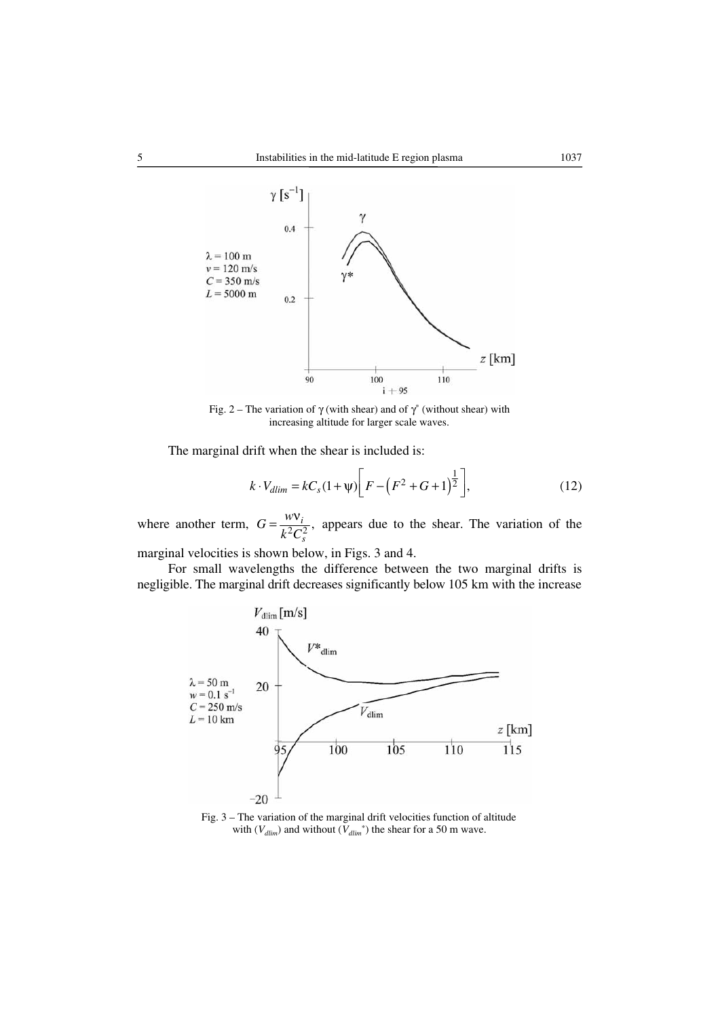

Fig. 2 – The variation of  $\gamma$  (with shear) and of  $\gamma^*$  (without shear) with increasing altitude for larger scale waves.

The marginal drift when the shear is included is:

$$
k \cdot V_{dlim} = kC_s (1 + \psi) \bigg[ F - \big( F^2 + G + 1 \big)^{\frac{1}{2}} \bigg], \tag{12}
$$

where another term,  $G = \frac{w v_i}{k^2 C_s^2}$ ,  $G=\frac{w}{2}$  $k^2C$  $=\frac{wv_i}{\sqrt{2\pi}}$ , appears due to the shear. The variation of the

marginal velocities is shown below, in Figs. 3 and 4.

For small wavelengths the difference between the two marginal drifts is negligible. The marginal drift decreases significantly below 105 km with the increase



Fig. 3 – The variation of the marginal drift velocities function of altitude with  $(V_{dlim})$  and without  $(V_{dlim}^*)$  the shear for a 50 m wave.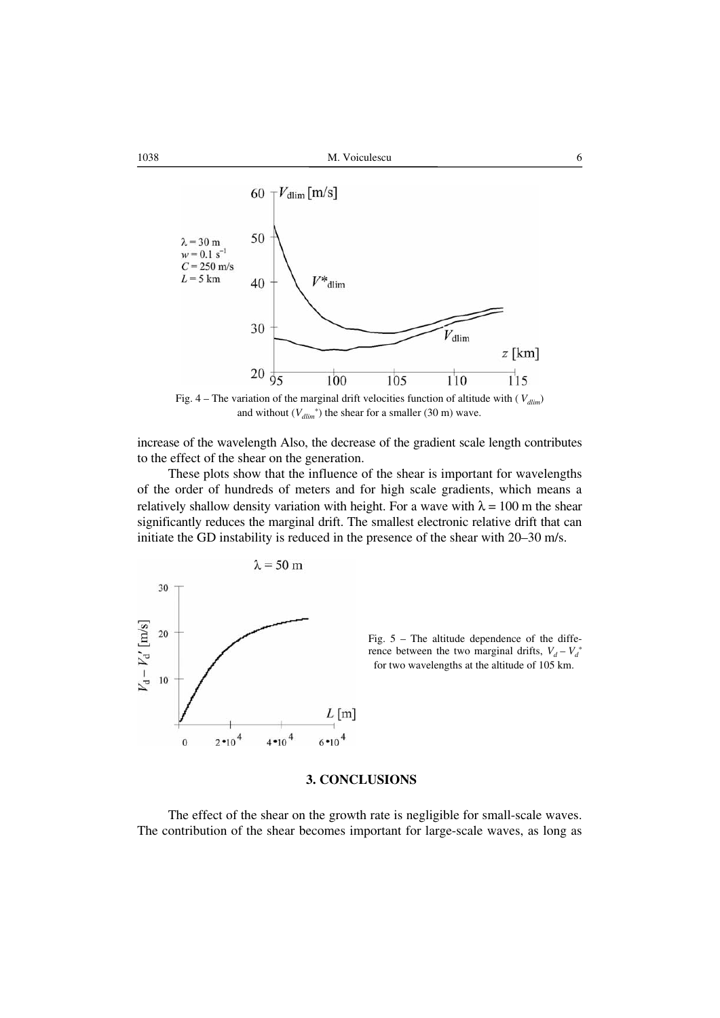



and without  $(V_{dlim}^*)$  the shear for a smaller (30 m) wave.

increase of the wavelength Also, the decrease of the gradient scale length contributes to the effect of the shear on the generation.

These plots show that the influence of the shear is important for wavelengths of the order of hundreds of meters and for high scale gradients, which means a relatively shallow density variation with height. For a wave with  $\lambda = 100$  m the shear significantly reduces the marginal drift. The smallest electronic relative drift that can initiate the GD instability is reduced in the presence of the shear with 20–30 m/s.





#### **3. CONCLUSIONS**

The effect of the shear on the growth rate is negligible for small-scale waves. The contribution of the shear becomes important for large-scale waves, as long as